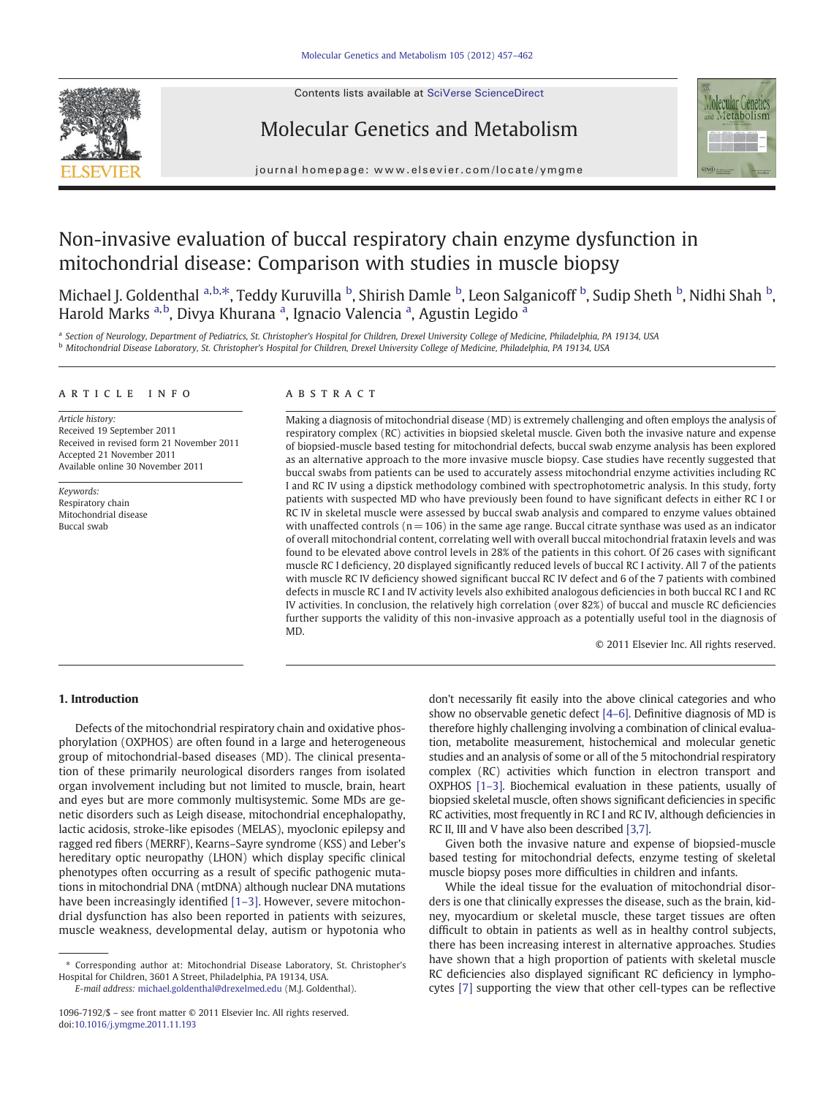Contents lists available at SciVerse ScienceDirect



# Molecular Genetics and Metabolism



journal homepage: www.elsevier.com/locate/ymgme

# Non-invasive evaluation of buccal respiratory chain enzyme dysfunction in mitochondrial disease: Comparison with studies in muscle biopsy

Michael J. Goldenthal <sup>a,b,\*</sup>, Teddy Kuruvilla <sup>b</sup>, Shirish Damle <sup>b</sup>, Leon Salganicoff <sup>b</sup>, Sudip Sheth <sup>b</sup>, Nidhi Shah <sup>b</sup>, Harold Marks <sup>a,b</sup>, Divya Khurana <sup>a</sup>, Ignacio Valencia <sup>a</sup>, Agustin Legido <sup>a</sup>

a Section of Neurology, Department of Pediatrics, St. Christopher's Hospital for Children, Drexel University College of Medicine, Philadelphia, PA 19134, USA <sup>b</sup> Mitochondrial Disease Laboratory, St. Christopher's Hospital for Children, Drexel University College of Medicine, Philadelphia, PA 19134, USA

#### article info abstract

Article history: Received 19 September 2011 Received in revised form 21 November 2011 Accepted 21 November 2011 Available online 30 November 2011

Keywords: Respiratory chain Mitochondrial disease Buccal swab

Making a diagnosis of mitochondrial disease (MD) is extremely challenging and often employs the analysis of respiratory complex (RC) activities in biopsied skeletal muscle. Given both the invasive nature and expense of biopsied-muscle based testing for mitochondrial defects, buccal swab enzyme analysis has been explored as an alternative approach to the more invasive muscle biopsy. Case studies have recently suggested that buccal swabs from patients can be used to accurately assess mitochondrial enzyme activities including RC I and RC IV using a dipstick methodology combined with spectrophotometric analysis. In this study, forty patients with suspected MD who have previously been found to have significant defects in either RC I or RC IV in skeletal muscle were assessed by buccal swab analysis and compared to enzyme values obtained with unaffected controls  $(n = 106)$  in the same age range. Buccal citrate synthase was used as an indicator of overall mitochondrial content, correlating well with overall buccal mitochondrial frataxin levels and was found to be elevated above control levels in 28% of the patients in this cohort. Of 26 cases with significant muscle RC I deficiency, 20 displayed significantly reduced levels of buccal RC I activity. All 7 of the patients with muscle RC IV deficiency showed significant buccal RC IV defect and 6 of the 7 patients with combined defects in muscle RC I and IV activity levels also exhibited analogous deficiencies in both buccal RC I and RC IV activities. In conclusion, the relatively high correlation (over 82%) of buccal and muscle RC deficiencies further supports the validity of this non-invasive approach as a potentially useful tool in the diagnosis of MD.

© 2011 Elsevier Inc. All rights reserved.

## 1. Introduction

Defects of the mitochondrial respiratory chain and oxidative phosphorylation (OXPHOS) are often found in a large and heterogeneous group of mitochondrial-based diseases (MD). The clinical presentation of these primarily neurological disorders ranges from isolated organ involvement including but not limited to muscle, brain, heart and eyes but are more commonly multisystemic. Some MDs are genetic disorders such as Leigh disease, mitochondrial encephalopathy, lactic acidosis, stroke-like episodes (MELAS), myoclonic epilepsy and ragged red fibers (MERRF), Kearns–Sayre syndrome (KSS) and Leber's hereditary optic neuropathy (LHON) which display specific clinical phenotypes often occurring as a result of specific pathogenic mutations in mitochondrial DNA (mtDNA) although nuclear DNA mutations have been increasingly identified [1-[3\]](#page-4-0). However, severe mitochondrial dysfunction has also been reported in patients with seizures, muscle weakness, developmental delay, autism or hypotonia who don't necessarily fit easily into the above clinical categories and who show no observable genetic defect [\[4](#page-4-0)–6]. Definitive diagnosis of MD is therefore highly challenging involving a combination of clinical evaluation, metabolite measurement, histochemical and molecular genetic studies and an analysis of some or all of the 5 mitochondrial respiratory complex (RC) activities which function in electron transport and OXPHOS [1–[3\].](#page-4-0) Biochemical evaluation in these patients, usually of biopsied skeletal muscle, often shows significant deficiencies in specific RC activities, most frequently in RC I and RC IV, although deficiencies in RC II, III and V have also been described [\[3,7\].](#page-4-0)

Given both the invasive nature and expense of biopsied-muscle based testing for mitochondrial defects, enzyme testing of skeletal muscle biopsy poses more difficulties in children and infants.

While the ideal tissue for the evaluation of mitochondrial disorders is one that clinically expresses the disease, such as the brain, kidney, myocardium or skeletal muscle, these target tissues are often difficult to obtain in patients as well as in healthy control subjects, there has been increasing interest in alternative approaches. Studies have shown that a high proportion of patients with skeletal muscle RC deficiencies also displayed significant RC deficiency in lymphocytes [\[7\]](#page-4-0) supporting the view that other cell-types can be reflective

<sup>⁎</sup> Corresponding author at: Mitochondrial Disease Laboratory, St. Christopher's Hospital for Children, 3601 A Street, Philadelphia, PA 19134, USA.

E-mail address: [michael.goldenthal@drexelmed.edu](mailto:michael.goldenthal@drexelmed.edu) (M.J. Goldenthal).

<sup>1096-7192/\$</sup> – see front matter © 2011 Elsevier Inc. All rights reserved. doi:[10.1016/j.ymgme.2011.11.193](http://dx.doi.org/10.1016/j.ymgme.2011.11.193)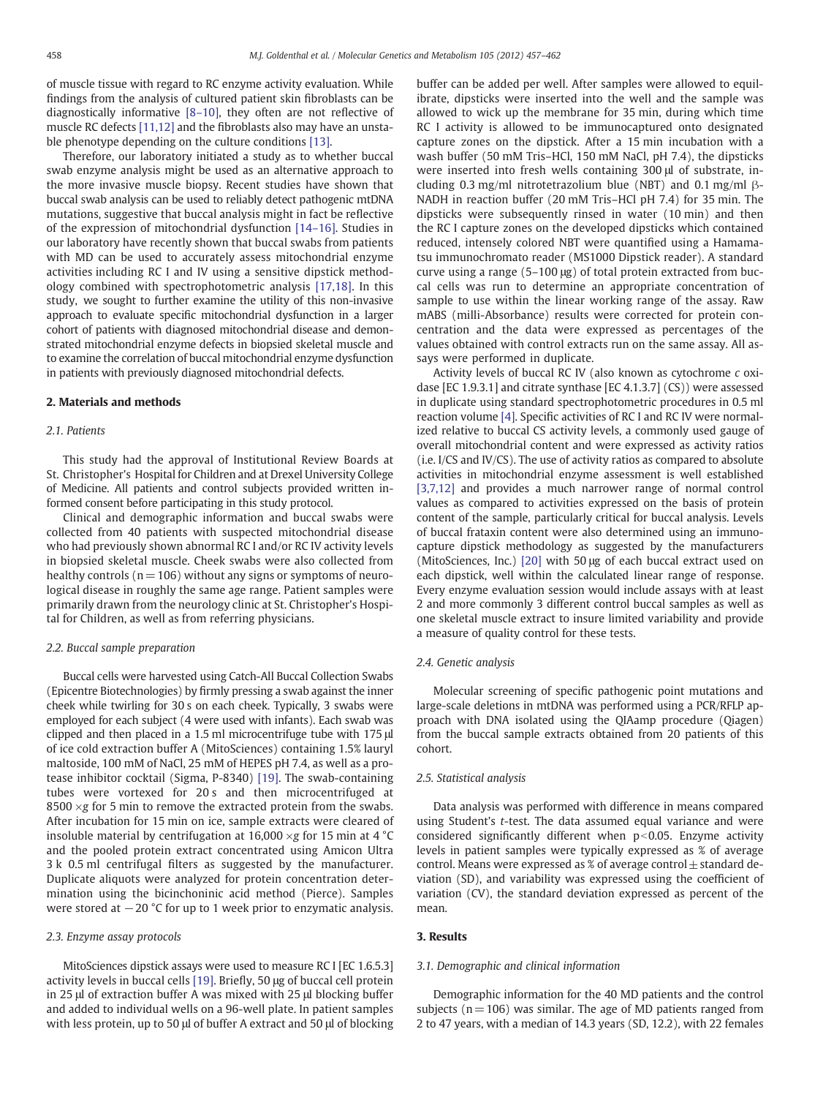of muscle tissue with regard to RC enzyme activity evaluation. While findings from the analysis of cultured patient skin fibroblasts can be diagnostically informative [8–[10\]](#page-4-0), they often are not reflective of muscle RC defects [\[11,12\]](#page-5-0) and the fibroblasts also may have an unstable phenotype depending on the culture conditions [\[13\].](#page-5-0)

Therefore, our laboratory initiated a study as to whether buccal swab enzyme analysis might be used as an alternative approach to the more invasive muscle biopsy. Recent studies have shown that buccal swab analysis can be used to reliably detect pathogenic mtDNA mutations, suggestive that buccal analysis might in fact be reflective of the expression of mitochondrial dysfunction [14–[16\].](#page-5-0) Studies in our laboratory have recently shown that buccal swabs from patients with MD can be used to accurately assess mitochondrial enzyme activities including RC I and IV using a sensitive dipstick methodology combined with spectrophotometric analysis [\[17,18\].](#page-5-0) In this study, we sought to further examine the utility of this non-invasive approach to evaluate specific mitochondrial dysfunction in a larger cohort of patients with diagnosed mitochondrial disease and demonstrated mitochondrial enzyme defects in biopsied skeletal muscle and to examine the correlation of buccal mitochondrial enzyme dysfunction in patients with previously diagnosed mitochondrial defects.

#### 2. Materials and methods

### 2.1. Patients

This study had the approval of Institutional Review Boards at St. Christopher's Hospital for Children and at Drexel University College of Medicine. All patients and control subjects provided written informed consent before participating in this study protocol.

Clinical and demographic information and buccal swabs were collected from 40 patients with suspected mitochondrial disease who had previously shown abnormal RC I and/or RC IV activity levels in biopsied skeletal muscle. Cheek swabs were also collected from healthy controls ( $n = 106$ ) without any signs or symptoms of neurological disease in roughly the same age range. Patient samples were primarily drawn from the neurology clinic at St. Christopher's Hospital for Children, as well as from referring physicians.

#### 2.2. Buccal sample preparation

Buccal cells were harvested using Catch-All Buccal Collection Swabs (Epicentre Biotechnologies) by firmly pressing a swab against the inner cheek while twirling for 30 s on each cheek. Typically, 3 swabs were employed for each subject (4 were used with infants). Each swab was clipped and then placed in a 1.5 ml microcentrifuge tube with 175 μl of ice cold extraction buffer A (MitoSciences) containing 1.5% lauryl maltoside, 100 mM of NaCl, 25 mM of HEPES pH 7.4, as well as a protease inhibitor cocktail (Sigma, P-8340) [\[19\].](#page-5-0) The swab-containing tubes were vortexed for 20 s and then microcentrifuged at 8500  $\times$ g for 5 min to remove the extracted protein from the swabs. After incubation for 15 min on ice, sample extracts were cleared of insoluble material by centrifugation at 16,000  $\times$ g for 15 min at 4 °C and the pooled protein extract concentrated using Amicon Ultra 3 k 0.5 ml centrifugal filters as suggested by the manufacturer. Duplicate aliquots were analyzed for protein concentration determination using the bicinchoninic acid method (Pierce). Samples were stored at −20 °C for up to 1 week prior to enzymatic analysis.

#### 2.3. Enzyme assay protocols

MitoSciences dipstick assays were used to measure RC I [EC 1.6.5.3] activity levels in buccal cells [\[19\].](#page-5-0) Briefly, 50 μg of buccal cell protein in 25 μl of extraction buffer A was mixed with 25 μl blocking buffer and added to individual wells on a 96-well plate. In patient samples with less protein, up to 50 μl of buffer A extract and 50 μl of blocking buffer can be added per well. After samples were allowed to equilibrate, dipsticks were inserted into the well and the sample was allowed to wick up the membrane for 35 min, during which time RC I activity is allowed to be immunocaptured onto designated capture zones on the dipstick. After a 15 min incubation with a wash buffer (50 mM Tris–HCl, 150 mM NaCl, pH 7.4), the dipsticks were inserted into fresh wells containing 300 μl of substrate, including 0.3 mg/ml nitrotetrazolium blue (NBT) and 0.1 mg/ml β-NADH in reaction buffer (20 mM Tris–HCl pH 7.4) for 35 min. The dipsticks were subsequently rinsed in water (10 min) and then the RC I capture zones on the developed dipsticks which contained reduced, intensely colored NBT were quantified using a Hamamatsu immunochromato reader (MS1000 Dipstick reader). A standard curve using a range (5–100 μg) of total protein extracted from buccal cells was run to determine an appropriate concentration of sample to use within the linear working range of the assay. Raw mABS (milli-Absorbance) results were corrected for protein concentration and the data were expressed as percentages of the values obtained with control extracts run on the same assay. All assays were performed in duplicate.

Activity levels of buccal RC IV (also known as cytochrome c oxidase [EC 1.9.3.1] and citrate synthase [EC 4.1.3.7] (CS)) were assessed in duplicate using standard spectrophotometric procedures in 0.5 ml reaction volume [\[4\].](#page-4-0) Specific activities of RC I and RC IV were normalized relative to buccal CS activity levels, a commonly used gauge of overall mitochondrial content and were expressed as activity ratios (i.e. I/CS and IV/CS). The use of activity ratios as compared to absolute activities in mitochondrial enzyme assessment is well established [\[3,7,12\]](#page-4-0) and provides a much narrower range of normal control values as compared to activities expressed on the basis of protein content of the sample, particularly critical for buccal analysis. Levels of buccal frataxin content were also determined using an immunocapture dipstick methodology as suggested by the manufacturers (MitoSciences, Inc.) [\[20\]](#page-5-0) with 50 μg of each buccal extract used on each dipstick, well within the calculated linear range of response. Every enzyme evaluation session would include assays with at least 2 and more commonly 3 different control buccal samples as well as one skeletal muscle extract to insure limited variability and provide a measure of quality control for these tests.

#### 2.4. Genetic analysis

Molecular screening of specific pathogenic point mutations and large-scale deletions in mtDNA was performed using a PCR/RFLP approach with DNA isolated using the QIAamp procedure (Qiagen) from the buccal sample extracts obtained from 20 patients of this cohort.

#### 2.5. Statistical analysis

Data analysis was performed with difference in means compared using Student's t-test. The data assumed equal variance and were considered significantly different when  $p<0.05$ . Enzyme activity levels in patient samples were typically expressed as % of average control. Means were expressed as % of average control  $\pm$  standard deviation (SD), and variability was expressed using the coefficient of variation (CV), the standard deviation expressed as percent of the mean.

#### 3. Results

#### 3.1. Demographic and clinical information

Demographic information for the 40 MD patients and the control subjects ( $n = 106$ ) was similar. The age of MD patients ranged from 2 to 47 years, with a median of 14.3 years (SD, 12.2), with 22 females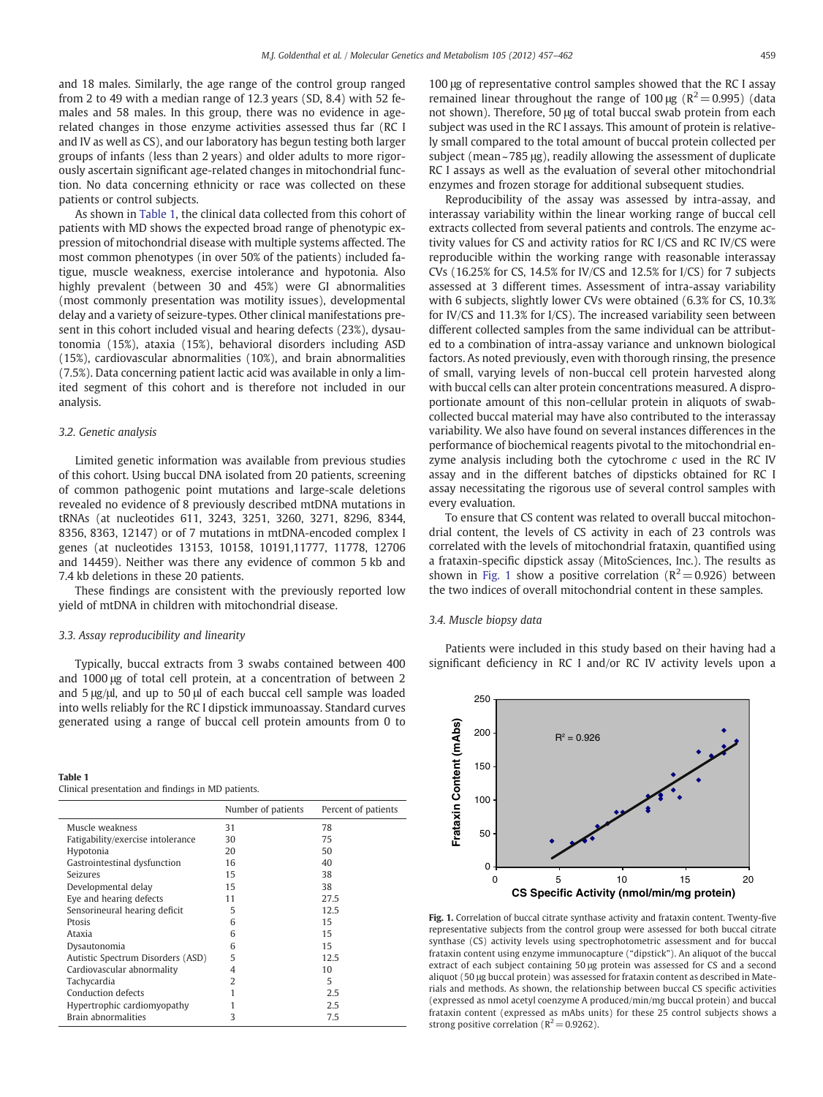and 18 males. Similarly, the age range of the control group ranged from 2 to 49 with a median range of 12.3 years (SD, 8.4) with 52 females and 58 males. In this group, there was no evidence in agerelated changes in those enzyme activities assessed thus far (RC I and IV as well as CS), and our laboratory has begun testing both larger groups of infants (less than 2 years) and older adults to more rigorously ascertain significant age-related changes in mitochondrial function. No data concerning ethnicity or race was collected on these patients or control subjects.

As shown in Table 1, the clinical data collected from this cohort of patients with MD shows the expected broad range of phenotypic expression of mitochondrial disease with multiple systems affected. The most common phenotypes (in over 50% of the patients) included fatigue, muscle weakness, exercise intolerance and hypotonia. Also highly prevalent (between 30 and 45%) were GI abnormalities (most commonly presentation was motility issues), developmental delay and a variety of seizure-types. Other clinical manifestations present in this cohort included visual and hearing defects (23%), dysautonomia (15%), ataxia (15%), behavioral disorders including ASD (15%), cardiovascular abnormalities (10%), and brain abnormalities (7.5%). Data concerning patient lactic acid was available in only a limited segment of this cohort and is therefore not included in our analysis.

#### 3.2. Genetic analysis

Limited genetic information was available from previous studies of this cohort. Using buccal DNA isolated from 20 patients, screening of common pathogenic point mutations and large-scale deletions revealed no evidence of 8 previously described mtDNA mutations in tRNAs (at nucleotides 611, 3243, 3251, 3260, 3271, 8296, 8344, 8356, 8363, 12147) or of 7 mutations in mtDNA-encoded complex I genes (at nucleotides 13153, 10158, 10191,11777, 11778, 12706 and 14459). Neither was there any evidence of common 5 kb and 7.4 kb deletions in these 20 patients.

These findings are consistent with the previously reported low yield of mtDNA in children with mitochondrial disease.

#### 3.3. Assay reproducibility and linearity

Typically, buccal extracts from 3 swabs contained between 400 and 1000 μg of total cell protein, at a concentration of between 2 and 5 μg/μl, and up to 50 μl of each buccal cell sample was loaded into wells reliably for the RC I dipstick immunoassay. Standard curves generated using a range of buccal cell protein amounts from 0 to

| Table 1 |                                                    |  |  |  |
|---------|----------------------------------------------------|--|--|--|
|         | Clinical presentation and findings in MD patients. |  |  |  |

|                                   | Number of patients | Percent of patients |
|-----------------------------------|--------------------|---------------------|
| Muscle weakness                   | 31                 | 78                  |
| Fatigability/exercise intolerance | 30                 | 75                  |
| Hypotonia                         | 20                 | 50                  |
| Gastrointestinal dysfunction      | 16                 | 40                  |
| Seizures                          | 15                 | 38                  |
| Developmental delay               | 15                 | 38                  |
| Eye and hearing defects           | 11                 | 27.5                |
| Sensorineural hearing deficit     | 5                  | 12.5                |
| Prosis                            | 6                  | 15                  |
| Ataxia                            | 6                  | 15                  |
| Dysautonomia                      | 6                  | 15                  |
| Autistic Spectrum Disorders (ASD) | 5                  | 12.5                |
| Cardiovascular abnormality        | 4                  | 10                  |
| Tachycardia                       | 2                  | 5                   |
| Conduction defects                |                    | 2.5                 |
| Hypertrophic cardiomyopathy       |                    | 2.5                 |
| Brain abnormalities               | 3                  | 7.5                 |

100 μg of representative control samples showed that the RC I assay remained linear throughout the range of 100 μg ( $R^2$  = 0.995) (data not shown). Therefore, 50 μg of total buccal swab protein from each subject was used in the RC I assays. This amount of protein is relatively small compared to the total amount of buccal protein collected per subject (mean ~ 785 μg), readily allowing the assessment of duplicate RC I assays as well as the evaluation of several other mitochondrial enzymes and frozen storage for additional subsequent studies.

Reproducibility of the assay was assessed by intra-assay, and interassay variability within the linear working range of buccal cell extracts collected from several patients and controls. The enzyme activity values for CS and activity ratios for RC I/CS and RC IV/CS were reproducible within the working range with reasonable interassay CVs (16.25% for CS, 14.5% for IV/CS and 12.5% for I/CS) for 7 subjects assessed at 3 different times. Assessment of intra-assay variability with 6 subjects, slightly lower CVs were obtained (6.3% for CS, 10.3% for IV/CS and 11.3% for I/CS). The increased variability seen between different collected samples from the same individual can be attributed to a combination of intra-assay variance and unknown biological factors. As noted previously, even with thorough rinsing, the presence of small, varying levels of non-buccal cell protein harvested along with buccal cells can alter protein concentrations measured. A disproportionate amount of this non-cellular protein in aliquots of swabcollected buccal material may have also contributed to the interassay variability. We also have found on several instances differences in the performance of biochemical reagents pivotal to the mitochondrial enzyme analysis including both the cytochrome  $c$  used in the RC IV assay and in the different batches of dipsticks obtained for RC I assay necessitating the rigorous use of several control samples with every evaluation.

To ensure that CS content was related to overall buccal mitochondrial content, the levels of CS activity in each of 23 controls was correlated with the levels of mitochondrial frataxin, quantified using a frataxin-specific dipstick assay (MitoSciences, Inc.). The results as shown in Fig. 1 show a positive correlation ( $R^2$  = 0.926) between the two indices of overall mitochondrial content in these samples.

#### 3.4. Muscle biopsy data

Patients were included in this study based on their having had a significant deficiency in RC I and/or RC IV activity levels upon a



Fig. 1. Correlation of buccal citrate synthase activity and frataxin content. Twenty-five representative subjects from the control group were assessed for both buccal citrate synthase (CS) activity levels using spectrophotometric assessment and for buccal frataxin content using enzyme immunocapture ("dipstick"). An aliquot of the buccal extract of each subject containing 50 μg protein was assessed for CS and a second aliquot (50 μg buccal protein) was assessed for frataxin content as described in Materials and methods. As shown, the relationship between buccal CS specific activities (expressed as nmol acetyl coenzyme A produced/min/mg buccal protein) and buccal frataxin content (expressed as mAbs units) for these 25 control subjects shows a strong positive correlation ( $R^2$  = 0.9262).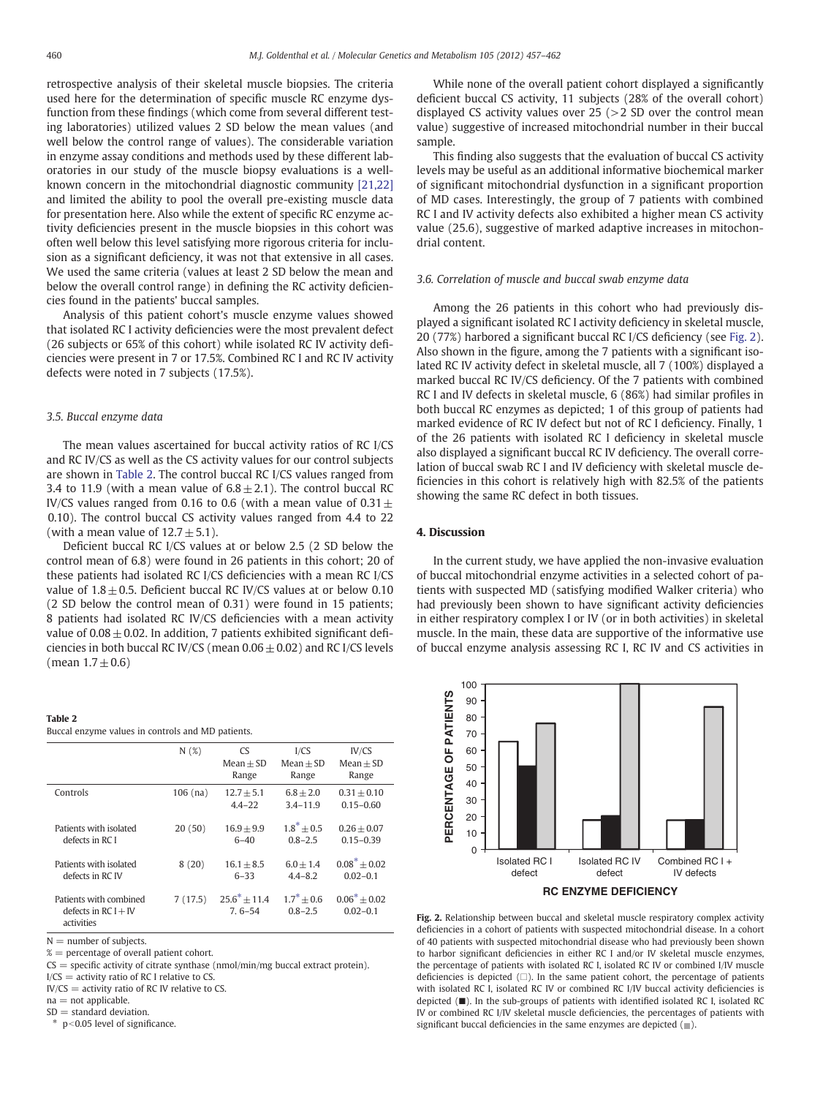retrospective analysis of their skeletal muscle biopsies. The criteria used here for the determination of specific muscle RC enzyme dysfunction from these findings (which come from several different testing laboratories) utilized values 2 SD below the mean values (and well below the control range of values). The considerable variation in enzyme assay conditions and methods used by these different laboratories in our study of the muscle biopsy evaluations is a wellknown concern in the mitochondrial diagnostic community [\[21,22\]](#page-5-0) and limited the ability to pool the overall pre-existing muscle data for presentation here. Also while the extent of specific RC enzyme activity deficiencies present in the muscle biopsies in this cohort was often well below this level satisfying more rigorous criteria for inclusion as a significant deficiency, it was not that extensive in all cases. We used the same criteria (values at least 2 SD below the mean and below the overall control range) in defining the RC activity deficiencies found in the patients' buccal samples.

Analysis of this patient cohort's muscle enzyme values showed that isolated RC I activity deficiencies were the most prevalent defect (26 subjects or 65% of this cohort) while isolated RC IV activity deficiencies were present in 7 or 17.5%. Combined RC I and RC IV activity defects were noted in 7 subjects (17.5%).

#### 3.5. Buccal enzyme data

The mean values ascertained for buccal activity ratios of RC I/CS and RC IV/CS as well as the CS activity values for our control subjects are shown in Table 2. The control buccal RC I/CS values ranged from 3.4 to 11.9 (with a mean value of  $6.8 \pm 2.1$ ). The control buccal RC IV/CS values ranged from 0.16 to 0.6 (with a mean value of  $0.31 \pm$ 0.10). The control buccal CS activity values ranged from 4.4 to 22 (with a mean value of  $12.7 \pm 5.1$ ).

Deficient buccal RC I/CS values at or below 2.5 (2 SD below the control mean of 6.8) were found in 26 patients in this cohort; 20 of these patients had isolated RC I/CS deficiencies with a mean RC I/CS value of  $1.8 \pm 0.5$ . Deficient buccal RC IV/CS values at or below 0.10 (2 SD below the control mean of 0.31) were found in 15 patients; 8 patients had isolated RC IV/CS deficiencies with a mean activity value of  $0.08 \pm 0.02$ . In addition, 7 patients exhibited significant deficiencies in both buccal RC IV/CS (mean  $0.06 \pm 0.02$ ) and RC I/CS levels (mean  $1.7 \pm 0.6$ )

#### Table 2

|  |  |  | Buccal enzyme values in controls and MD patients. |
|--|--|--|---------------------------------------------------|

|                                                                | N(%)       | <b>CS</b><br>$Mean + SD$<br>Range | I/CS<br>$Mean + SD$<br>Range | IV/CS<br>$Mean + SD$<br>Range     |
|----------------------------------------------------------------|------------|-----------------------------------|------------------------------|-----------------------------------|
| Controls                                                       | $106$ (na) | $12.7 + 5.1$<br>$4.4 - 22$        | $6.8 + 2.0$<br>$3.4 - 11.9$  | $0.31 + 0.10$<br>$0.15 - 0.60$    |
| Patients with isolated<br>defects in RC I                      | 20(50)     | $16.9 + 9.9$<br>$6 - 40$          | $1.8^* + 0.5$<br>$0.8 - 2.5$ | $0.26 + 0.07$<br>$0.15 - 0.39$    |
| Patients with isolated<br>defects in RC IV                     | 8(20)      | $16.1 + 8.5$<br>$6 - 33$          | $6.0 + 1.4$<br>$4.4 - 8.2$   | $0.08^* \pm 0.02$<br>$0.02 - 0.1$ |
| Patients with combined<br>defects in $RC I + IV$<br>activities | 7(17.5)    | $25.6^* + 11.4$<br>$7.6 - 54$     | $1.7^* + 0.6$<br>$0.8 - 2.5$ | $0.06^* + 0.02$<br>$0.02 - 0.1$   |

 $N =$  number of subjects.

 $% =$  percentage of overall patient cohort.

 $CS =$  specific activity of citrate synthase (nmol/min/mg buccal extract protein).

 $I/CS =$  activity ratio of RC I relative to CS.

 $IV/CS =$  activity ratio of RC IV relative to CS.  $na = not$ applicable.

 $SD =$  standard deviation.

 $*$  p<0.05 level of significance.

While none of the overall patient cohort displayed a significantly deficient buccal CS activity, 11 subjects (28% of the overall cohort) displayed CS activity values over  $25$  ( $>$ 2 SD over the control mean value) suggestive of increased mitochondrial number in their buccal sample.

This finding also suggests that the evaluation of buccal CS activity levels may be useful as an additional informative biochemical marker of significant mitochondrial dysfunction in a significant proportion of MD cases. Interestingly, the group of 7 patients with combined RC I and IV activity defects also exhibited a higher mean CS activity value (25.6), suggestive of marked adaptive increases in mitochondrial content.

## 3.6. Correlation of muscle and buccal swab enzyme data

Among the 26 patients in this cohort who had previously displayed a significant isolated RC I activity deficiency in skeletal muscle, 20 (77%) harbored a significant buccal RC I/CS deficiency (see Fig. 2). Also shown in the figure, among the 7 patients with a significant isolated RC IV activity defect in skeletal muscle, all 7 (100%) displayed a marked buccal RC IV/CS deficiency. Of the 7 patients with combined RC I and IV defects in skeletal muscle, 6 (86%) had similar profiles in both buccal RC enzymes as depicted; 1 of this group of patients had marked evidence of RC IV defect but not of RC I deficiency. Finally, 1 of the 26 patients with isolated RC I deficiency in skeletal muscle also displayed a significant buccal RC IV deficiency. The overall correlation of buccal swab RC I and IV deficiency with skeletal muscle deficiencies in this cohort is relatively high with 82.5% of the patients showing the same RC defect in both tissues.

#### 4. Discussion

In the current study, we have applied the non-invasive evaluation of buccal mitochondrial enzyme activities in a selected cohort of patients with suspected MD (satisfying modified Walker criteria) who had previously been shown to have significant activity deficiencies in either respiratory complex I or IV (or in both activities) in skeletal muscle. In the main, these data are supportive of the informative use of buccal enzyme analysis assessing RC I, RC IV and CS activities in



Fig. 2. Relationship between buccal and skeletal muscle respiratory complex activity deficiencies in a cohort of patients with suspected mitochondrial disease. In a cohort of 40 patients with suspected mitochondrial disease who had previously been shown to harbor significant deficiencies in either RC I and/or IV skeletal muscle enzymes, the percentage of patients with isolated RC I, isolated RC IV or combined I/IV muscle deficiencies is depicted  $(\square)$ . In the same patient cohort, the percentage of patients with isolated RC I, isolated RC IV or combined RC I/IV buccal activity deficiencies is depicted (■). In the sub-groups of patients with identified isolated RC I, isolated RC IV or combined RC I/IV skeletal muscle deficiencies, the percentages of patients with significant buccal deficiencies in the same enzymes are depicted  $($  $)$ .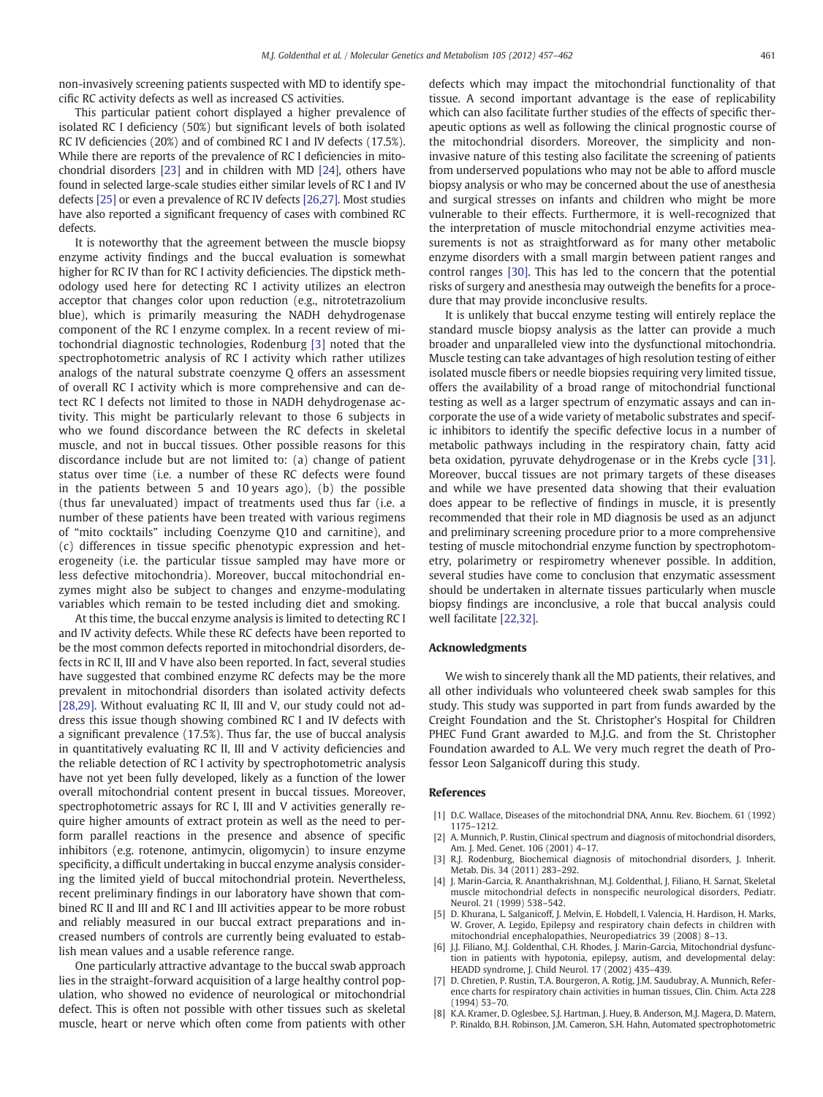<span id="page-4-0"></span>non-invasively screening patients suspected with MD to identify specific RC activity defects as well as increased CS activities.

This particular patient cohort displayed a higher prevalence of isolated RC I deficiency (50%) but significant levels of both isolated RC IV deficiencies (20%) and of combined RC I and IV defects (17.5%). While there are reports of the prevalence of RC I deficiencies in mitochondrial disorders [\[23\]](#page-5-0) and in children with MD [\[24\]](#page-5-0), others have found in selected large-scale studies either similar levels of RC I and IV defects [\[25\]](#page-5-0) or even a prevalence of RC IV defects [\[26,27\]](#page-5-0). Most studies have also reported a significant frequency of cases with combined RC defects.

It is noteworthy that the agreement between the muscle biopsy enzyme activity findings and the buccal evaluation is somewhat higher for RC IV than for RC I activity deficiencies. The dipstick methodology used here for detecting RC I activity utilizes an electron acceptor that changes color upon reduction (e.g., nitrotetrazolium blue), which is primarily measuring the NADH dehydrogenase component of the RC I enzyme complex. In a recent review of mitochondrial diagnostic technologies, Rodenburg [3] noted that the spectrophotometric analysis of RC I activity which rather utilizes analogs of the natural substrate coenzyme Q offers an assessment of overall RC I activity which is more comprehensive and can detect RC I defects not limited to those in NADH dehydrogenase activity. This might be particularly relevant to those 6 subjects in who we found discordance between the RC defects in skeletal muscle, and not in buccal tissues. Other possible reasons for this discordance include but are not limited to: (a) change of patient status over time (i.e. a number of these RC defects were found in the patients between 5 and 10 years ago), (b) the possible (thus far unevaluated) impact of treatments used thus far (i.e. a number of these patients have been treated with various regimens of "mito cocktails" including Coenzyme Q10 and carnitine), and (c) differences in tissue specific phenotypic expression and heterogeneity (i.e. the particular tissue sampled may have more or less defective mitochondria). Moreover, buccal mitochondrial enzymes might also be subject to changes and enzyme-modulating variables which remain to be tested including diet and smoking.

At this time, the buccal enzyme analysis is limited to detecting RC I and IV activity defects. While these RC defects have been reported to be the most common defects reported in mitochondrial disorders, defects in RC II, III and V have also been reported. In fact, several studies have suggested that combined enzyme RC defects may be the more prevalent in mitochondrial disorders than isolated activity defects [\[28,29\]](#page-5-0). Without evaluating RC II, III and V, our study could not address this issue though showing combined RC I and IV defects with a significant prevalence (17.5%). Thus far, the use of buccal analysis in quantitatively evaluating RC II, III and V activity deficiencies and the reliable detection of RC I activity by spectrophotometric analysis have not yet been fully developed, likely as a function of the lower overall mitochondrial content present in buccal tissues. Moreover, spectrophotometric assays for RC I, III and V activities generally require higher amounts of extract protein as well as the need to perform parallel reactions in the presence and absence of specific inhibitors (e.g. rotenone, antimycin, oligomycin) to insure enzyme specificity, a difficult undertaking in buccal enzyme analysis considering the limited yield of buccal mitochondrial protein. Nevertheless, recent preliminary findings in our laboratory have shown that combined RC II and III and RC I and III activities appear to be more robust and reliably measured in our buccal extract preparations and increased numbers of controls are currently being evaluated to establish mean values and a usable reference range.

One particularly attractive advantage to the buccal swab approach lies in the straight-forward acquisition of a large healthy control population, who showed no evidence of neurological or mitochondrial defect. This is often not possible with other tissues such as skeletal muscle, heart or nerve which often come from patients with other defects which may impact the mitochondrial functionality of that tissue. A second important advantage is the ease of replicability which can also facilitate further studies of the effects of specific therapeutic options as well as following the clinical prognostic course of the mitochondrial disorders. Moreover, the simplicity and noninvasive nature of this testing also facilitate the screening of patients from underserved populations who may not be able to afford muscle biopsy analysis or who may be concerned about the use of anesthesia and surgical stresses on infants and children who might be more vulnerable to their effects. Furthermore, it is well-recognized that the interpretation of muscle mitochondrial enzyme activities measurements is not as straightforward as for many other metabolic enzyme disorders with a small margin between patient ranges and control ranges [\[30\]](#page-5-0). This has led to the concern that the potential risks of surgery and anesthesia may outweigh the benefits for a procedure that may provide inconclusive results.

It is unlikely that buccal enzyme testing will entirely replace the standard muscle biopsy analysis as the latter can provide a much broader and unparalleled view into the dysfunctional mitochondria. Muscle testing can take advantages of high resolution testing of either isolated muscle fibers or needle biopsies requiring very limited tissue, offers the availability of a broad range of mitochondrial functional testing as well as a larger spectrum of enzymatic assays and can incorporate the use of a wide variety of metabolic substrates and specific inhibitors to identify the specific defective locus in a number of metabolic pathways including in the respiratory chain, fatty acid beta oxidation, pyruvate dehydrogenase or in the Krebs cycle [\[31\].](#page-5-0) Moreover, buccal tissues are not primary targets of these diseases and while we have presented data showing that their evaluation does appear to be reflective of findings in muscle, it is presently recommended that their role in MD diagnosis be used as an adjunct and preliminary screening procedure prior to a more comprehensive testing of muscle mitochondrial enzyme function by spectrophotometry, polarimetry or respirometry whenever possible. In addition, several studies have come to conclusion that enzymatic assessment should be undertaken in alternate tissues particularly when muscle biopsy findings are inconclusive, a role that buccal analysis could well facilitate [\[22,32\].](#page-5-0)

#### Acknowledgments

We wish to sincerely thank all the MD patients, their relatives, and all other individuals who volunteered cheek swab samples for this study. This study was supported in part from funds awarded by the Creight Foundation and the St. Christopher's Hospital for Children PHEC Fund Grant awarded to M.J.G. and from the St. Christopher Foundation awarded to A.L. We very much regret the death of Professor Leon Salganicoff during this study.

#### References

- [1] D.C. Wallace, Diseases of the mitochondrial DNA, Annu. Rev. Biochem. 61 (1992) 1175–1212.
- [2] A. Munnich, P. Rustin, Clinical spectrum and diagnosis of mitochondrial disorders, Am. J. Med. Genet. 106 (2001) 4–17.
- [3] R.J. Rodenburg, Biochemical diagnosis of mitochondrial disorders, J. Inherit. Metab. Dis. 34 (2011) 283–292.
- [4] J. Marin-Garcia, R. Ananthakrishnan, M.J. Goldenthal, J. Filiano, H. Sarnat, Skeletal muscle mitochondrial defects in nonspecific neurological disorders, Pediatr. Neurol. 21 (1999) 538–542.
- [5] D. Khurana, L. Salganicoff, J. Melvin, E. Hobdell, I. Valencia, H. Hardison, H. Marks, W. Grover, A. Legido, Epilepsy and respiratory chain defects in children with mitochondrial encephalopathies, Neuropediatrics 39 (2008) 8–13.
- [6] J.J. Filiano, M.J. Goldenthal, C.H. Rhodes, J. Marin-Garcia, Mitochondrial dysfunction in patients with hypotonia, epilepsy, autism, and developmental delay: HEADD syndrome, J. Child Neurol. 17 (2002) 435–439.
- [7] D. Chretien, P. Rustin, T.A. Bourgeron, A. Rotig, J.M. Saudubray, A. Munnich, Reference charts for respiratory chain activities in human tissues, Clin. Chim. Acta 228 (1994) 53–70.
- [8] K.A. Kramer, D. Oglesbee, S.J. Hartman, J. Huey, B. Anderson, M.J. Magera, D. Matern, P. Rinaldo, B.H. Robinson, J.M. Cameron, S.H. Hahn, Automated spectrophotometric